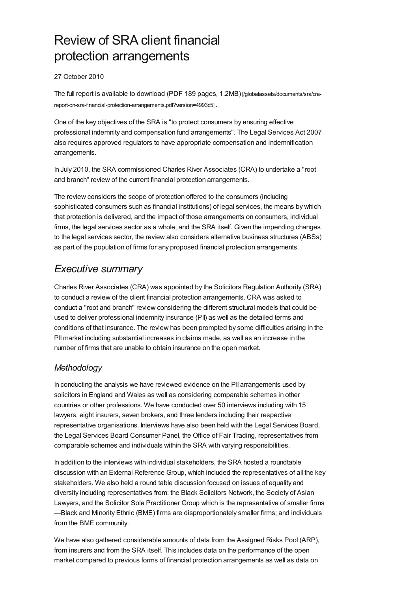# Review of SRA client financial protection arrangements

# 27 October 2010

The full report is available to download (PDF 189 pages, 1.2MB) [/globalassets/documents/sra/cra[report-on-sra-financial-protection-arrangements.pdf?version=4993c5\]](https://www.sra.org.uk/globalassets/documents/sra/cra-report-on-sra-financial-protection-arrangements.pdf?version=4993c5) .

One of the key objectives of the SRA is "to protect consumers by ensuring effective professional indemnity and compensation fund arrangements". The Legal Services Act 2007 also requires approved regulators to have appropriate compensation and indemnification arrangements.

In July 2010, the SRA commissioned Charles River Associates (CRA) to undertake a "root and branch" review of the current financial protection arrangements.

The review considers the scope of protection offered to the consumers (including sophisticated consumers such as financial institutions) of legal services, the means by which that protection is delivered, and the impact of those arrangements on consumers, individual firms, the legal services sector as a whole, and the SRA itself. Given the impending changes to the legal services sector, the review also considers alternative business structures (ABSs) as part of the population of firms for any proposed financial protection arrangements.

# *Executive summary*

Charles River Associates (CRA) was appointed by the Solicitors Regulation Authority (SRA) to conduct a review of the client financial protection arrangements. CRA was asked to conduct a "root and branch" review considering the different structural models that could be used to deliver professional indemnity insurance (PII) as well as the detailed terms and conditions of that insurance. The review has been prompted by some difficulties arising in the PIImarket including substantial increases in claims made, as well as an increase in the number of firms that are unable to obtain insurance on the open market.

# *Methodology*

In conducting the analysis we have reviewed evidence on the PII arrangements used by solicitors in England and Wales as well as considering comparable schemes in other countries or other professions. We have conducted over 50 interviews including with 15 lawyers, eight insurers, seven brokers, and three lenders including their respective representative organisations. Interviews have also been held with the Legal Services Board, the Legal Services Board Consumer Panel, the Office of Fair Trading, representatives from comparable schemes and individuals within the SRA with varying responsibilities.

In addition to the interviews with individual stakeholders, the SRA hosted a roundtable discussion with an External Reference Group, which included the representatives of all the key stakeholders. We also held a round table discussion focused on issues of equality and diversity including representatives from: the Black Solicitors Network, the Society of Asian Lawyers, and the Solicitor Sole Practitioner Group which is the representative of smaller firms —Black and Minority Ethnic (BME) firms are disproportionately smaller firms; and individuals from the BME community.

We have also gathered considerable amounts of data from the Assigned Risks Pool (ARP), from insurers and from the SRA itself. This includes data on the performance of the open market compared to previous forms of financial protection arrangements as well as data on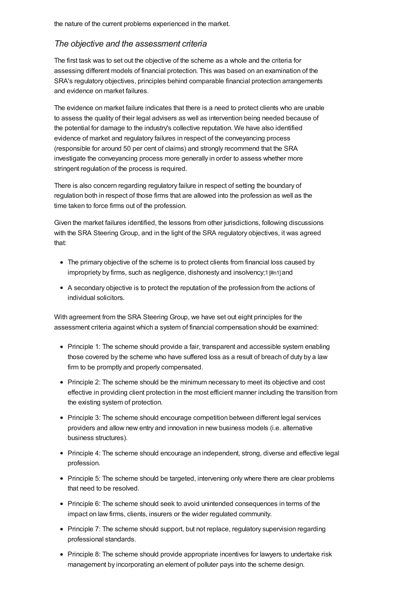# *The objective and the assessment criteria*

The first task was to set out the objective of the scheme as a whole and the criteria for assessing different models of financial protection. This was based on an examination of the SRA's regulatory objectives, principles behind comparable financial protection arrangements and evidence on market failures.

The evidence on market failure indicates that there is a need to protect clients who are unable to assess the quality of their legal advisers as well as intervention being needed because of the potential for damage to the industry's collective reputation. We have also identified evidence of market and regulatory failures in respect of the conveyancing process (responsible for around 50 per cent of claims) and strongly recommend that the SRA investigate the conveyancing process more generally in order to assess whether more stringent regulation of the process is required.

There is also concern regarding regulatory failure in respect of setting the boundary of regulation both in respect of those firms that are allowed into the profession as well as the time taken to force firms out of the profession.

Given the market failures identified, the lessons from other jurisdictions, following discussions with the SRA Steering Group, and in the light of the SRA regulatory objectives, it was agreed that:

- The primary objective of the scheme is to protect clients from financial loss caused by impropriety by firms, such as negligence, dishonesty and insolvency;1 [\[#n1\]](#page-12-0) and
- A secondary objective is to protect the reputation of the profession from the actions of individual solicitors.

With agreement from the SRA Steering Group, we have set out eight principles for the assessment criteria against which a system of financial compensation should be examined:

- Principle 1: The scheme should provide a fair, transparent and accessible system enabling those covered by the scheme who have suffered loss as a result of breach of duty by a law firm to be promptly and properly compensated.
- Principle 2: The scheme should be the minimum necessary to meet its objective and cost effective in providing client protection in the most efficient manner including the transition from the existing system of protection.
- Principle 3: The scheme should encourage competition between different legal services providers and allow new entry and innovation in new business models (i.e. alternative business structures).
- Principle 4: The scheme should encourage an independent, strong, diverse and effective legal profession.
- Principle 5: The scheme should be targeted, intervening only where there are clear problems that need to be resolved.
- Principle 6: The scheme should seek to avoid unintended consequences in terms of the impact on law firms, clients, insurers or the wider regulated community.
- Principle 7: The scheme should support, but not replace, regulatory supervision regarding professional standards.
- Principle 8: The scheme should provide appropriate incentives for lawyers to undertake risk management by incorporating an element of polluter pays into the scheme design.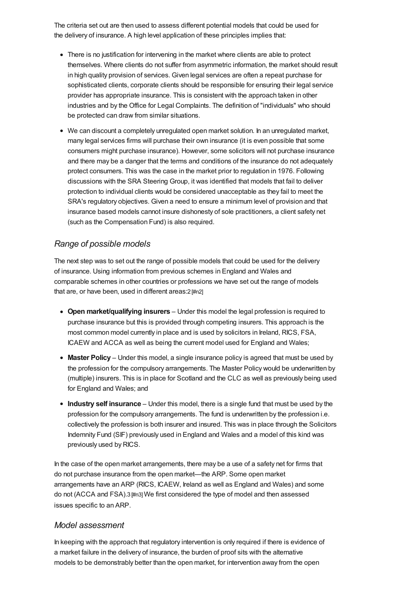The criteria set out are then used to assess different potential models that could be used for the delivery of insurance. A high level application of these principles implies that:

- There is no justification for intervening in the market where clients are able to protect themselves. Where clients do not suffer from asymmetric information, the market should result in high quality provision of services. Given legal services are often a repeat purchase for sophisticated clients, corporate clients should be responsible for ensuring their legal service provider has appropriate insurance. This is consistent with the approach taken in other industries and by the Office for Legal Complaints. The definition of "individuals" who should be protected can draw from similar situations.
- We can discount a completely unregulated open market solution. In an unregulated market, many legal services firms will purchase their own insurance (it is even possible that some consumers might purchase insurance). However, some solicitors will not purchase insurance and there may be a danger that the terms and conditions of the insurance do not adequately protect consumers. This was the case in the market prior to regulation in 1976. Following discussions with the SRA Steering Group, it was identified that models that fail to deliver protection to individual clients would be considered unacceptable as they fail to meet the SRA's regulatory objectives. Given a need to ensure a minimum level of provision and that insurance based models cannot insure dishonesty of sole practitioners, a client safety net (such as the Compensation Fund) is also required.

# *Range of possible models*

The next step was to set out the range of possible models that could be used for the delivery of insurance. Using information from previous schemes in England and Wales and comparable schemes in other countries or professions we have set out the range of models that are, or have been, used in different areas: 2 [\[#n2\]](#page-12-1)

- **Open market/qualifying insurers** Under this model the legal profession is required to purchase insurance but this is provided through competing insurers. This approach is the most common model currently in place and is used by solicitors in Ireland, RICS, FSA, ICAEW and ACCA as well as being the current model used for England and Wales;
- **Master Policy** Under this model, a single insurance policy is agreed that must be used by the profession for the compulsory arrangements. The Master Policy would be underwritten by (multiple) insurers. This is in place for Scotland and the CLC as well as previously being used for England and Wales; and
- **Industry self insurance** Under this model, there is a single fund that must be used by the profession for the compulsory arrangements. The fund is underwritten by the profession i.e. collectively the profession is both insurer and insured. This was in place through the Solicitors Indemnity Fund (SIF) previously used in England and Wales and a model of this kind was previously used by RICS.

In the case of the open market arrangements, there may be a use of a safety net for firms that do not purchase insurance from the open market—the ARP. Some open market arrangements have an ARP (RICS, ICAEW, Ireland as well as England and Wales) and some do not (ACCA and FSA).3 [\[#n3\]](#page-12-2) We first considered the type of model and then assessed issues specific to an ARP.

# *Model assessment*

In keeping with the approach that regulatory intervention is only required if there is evidence of a market failure in the delivery of insurance, the burden of proof sits with the alternative models to be demonstrably better than the open market, for intervention away from the open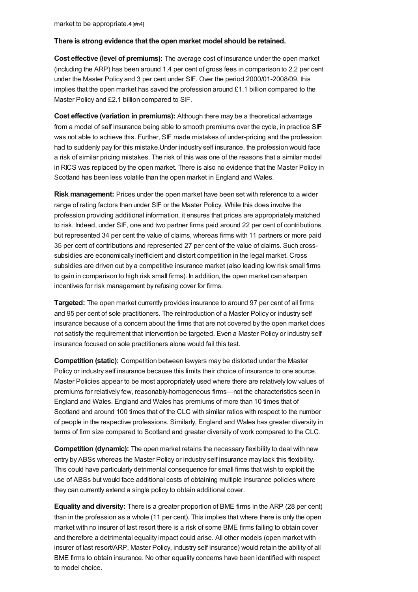#### **There is strong evidence that the open market model should be retained.**

**Cost effective (level of premiums):** The average cost of insurance under the open market (including the ARP) has been around 1.4 per cent of gross fees in comparison to 2.2 per cent under the Master Policy and 3 per cent under SIF. Over the period 2000/01-2008/09, this implies that the open market has saved the profession around £1.1 billion compared to the Master Policy and £2.1 billion compared to SIF.

**Cost effective (variation in premiums):** Although there may be a theoretical advantage from a model of self insurance being able to smooth premiums over the cycle, in practice SIF was not able to achieve this. Further, SIF made mistakes of under-pricing and the profession had to suddenly pay for this mistake.Under industry self insurance, the profession would face a risk of similar pricing mistakes. The risk of this was one of the reasons that a similar model in RICS was replaced by the open market. There is also no evidence that the Master Policy in Scotland has been less volatile than the open market in England and Wales.

**Risk management:** Prices under the open market have been set with reference to a wider range of rating factors than under SIF or the Master Policy. While this does involve the profession providing additional information, it ensures that prices are appropriately matched to risk. Indeed, under SIF, one and two partner firms paid around 22 per cent of contributions but represented 34 per cent the value of claims, whereas firms with 11 partners or more paid 35 per cent of contributions and represented 27 per cent of the value of claims. Such crosssubsidies are economically inefficient and distort competition in the legal market. Cross subsidies are driven out by a competitive insurance market (also leading low risk small firms to gain in comparison to high risk small firms). In addition, the open market can sharpen incentives for risk management by refusing cover for firms.

**Targeted:** The open market currently provides insurance to around 97 per cent of all firms and 95 per cent of sole practitioners. The reintroduction of a Master Policy or industry self insurance because of a concern about the firms that are not covered by the open market does not satisfy the requirement that intervention be targeted. Even a Master Policy or industry self insurance focused on sole practitioners alone would fail this test.

**Competition (static):** Competition between lawyers may be distorted under the Master Policy or industry self insurance because this limits their choice of insurance to one source. Master Policies appear to be most appropriately used where there are relatively low values of premiums for relatively few, reasonably-homogeneous firms—not the characteristics seen in England and Wales. England and Wales has premiums of more than 10 times that of Scotland and around 100 times that of the CLC with similar ratios with respect to the number of people in the respective professions. Similarly, England and Wales has greater diversity in terms of firm size compared to Scotland and greater diversity of work compared to the CLC.

**Competition (dynamic):** The open market retains the necessary flexibility to deal with new entry by ABSs whereas the Master Policy or industry self insurance may lack this flexibility. This could have particularly detrimental consequence for small firms that wish to exploit the use of ABSs but would face additional costs of obtaining multiple insurance policies where they can currently extend a single policy to obtain additional cover.

**Equality and diversity:** There is a greater proportion of BME firms in the ARP (28 per cent) than in the profession as a whole (11 per cent). This implies that where there is only the open market with no insurer of last resort there is a risk of some BME firms failing to obtain cover and therefore a detrimental equality impact could arise. All other models (open market with insurer of last resort/ARP, Master Policy, industry self insurance) would retain the ability of all BME firms to obtain insurance. No other equality concerns have been identified with respect to model choice.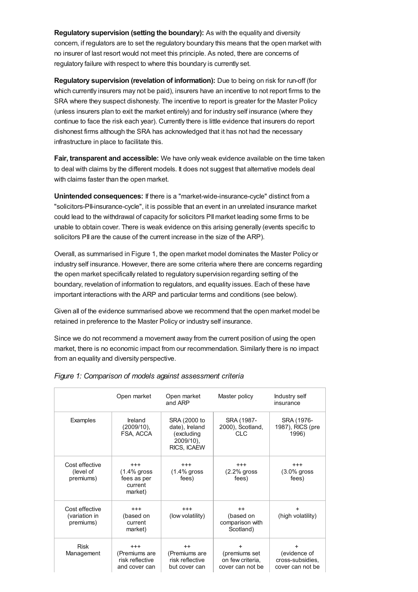**Regulatory supervision (setting the boundary):** As with the equality and diversity concern, if regulators are to set the regulatory boundary this means that the open market with no insurer of last resort would not meet this principle. As noted, there are concerns of regulatory failure with respect to where this boundary is currently set.

**Regulatory supervision (revelation of information):** Due to being on risk for run-off (for which currently insurers may not be paid), insurers have an incentive to not report firms to the SRA where they suspect dishonesty. The incentive to report is greater for the Master Policy (unless insurers plan to exit the market entirely) and for industry self insurance (where they continue to face the risk each year). Currently there is little evidence that insurers do report dishonest firms although the SRA has acknowledged that it has not had the necessary infrastructure in place to facilitate this.

**Fair, transparent and accessible:** We have only weak evidence available on the time taken to deal with claims by the different models. It does not suggest that alternative models deal with claims faster than the open market.

**Unintended consequences:** If there is a "market-wide-insurance-cycle" distinct from a "solicitors-PII-insurance-cycle", it is possible that an event in an unrelated insurance market could lead to the withdrawal of capacity for solicitors PIImarket leading some firms to be unable to obtain cover. There is weak evidence on this arising generally (events specific to solicitors PII are the cause of the current increase in the size of the ARP).

Overall, as summarised in Figure 1, the open market model dominates the Master Policy or industry self insurance. However, there are some criteria where there are concerns regarding the open market specifically related to regulatory supervision regarding setting of the boundary, revelation of information to regulators, and equality issues. Each of these have important interactions with the ARP and particular terms and conditions (see below).

Given all of the evidence summarised above we recommend that the open market model be retained in preference to the Master Policy or industry self insurance.

Since we do not recommend a movement away from the current position of using the open market, there is no economic impact from our recommendation. Similarly there is no impact from an equality and diversity perspective.

|                                              | Open market                                                     | Open market<br>and ARP                                                   | Master policy                                               | Industry self<br>insurance                                        |
|----------------------------------------------|-----------------------------------------------------------------|--------------------------------------------------------------------------|-------------------------------------------------------------|-------------------------------------------------------------------|
| Examples                                     | Ireland<br>(2009/10),<br>FSA, ACCA                              | SRA (2000 to<br>date), Ireland<br>(excluding<br>2009/10).<br>RICS, ICAEW | SRA (1987-<br>2000), Scotland,<br><b>CLC</b>                | SRA (1976-<br>1987), RICS (pre<br>1996)                           |
| Cost effective<br>(level of<br>premiums)     | $^{+++}$<br>$(1.4\%$ gross<br>fees as per<br>current<br>market) | $^{+++}$<br>$(1.4\%$ gross<br>fees)                                      | $^{+++}$<br>$(2.2%$ gross<br>fees)                          | $^{+++}$<br>$(3.0\%$ gross<br>fees)                               |
| Cost effective<br>(variation in<br>premiums) | $^{+++}$<br>(based on<br>current<br>market)                     | $^{+++}$<br>(low volatility)                                             | $++$<br>(based on<br>comparison with<br>Scotland)           | $\ddot{}$<br>(high volatility)                                    |
| <b>Risk</b><br>Management                    | $^{+++}$<br>(Premiums are<br>risk reflective<br>and cover can   | $++$<br>(Premiums are<br>risk reflective<br>but cover can                | ÷.<br>(premiums set<br>on few criteria.<br>cover can not be | $\ddot{}$<br>(evidence of<br>cross-subsidies,<br>cover can not be |

#### *Figure 1: Comparison of models against assessment criteria*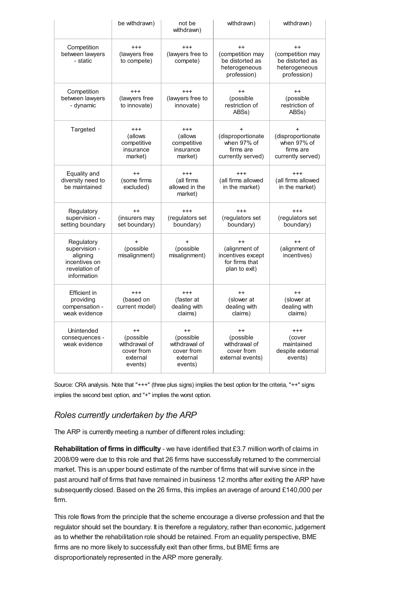|                                                                                          | be withdrawn)                                                              | not be<br>withdrawn)                                                        | withdrawn)                                                                    | withdrawn)                                                                      |
|------------------------------------------------------------------------------------------|----------------------------------------------------------------------------|-----------------------------------------------------------------------------|-------------------------------------------------------------------------------|---------------------------------------------------------------------------------|
| Competition<br>between lawyers<br>- static                                               | $^{+++}$<br>(lawyers free<br>to compete)                                   | $^{+++}$<br>(lawyers free to<br>compete)                                    | $++$<br>(competition may<br>be distorted as<br>heterogeneous<br>profession)   | $++$<br>(competition may<br>be distorted as<br>heterogeneous<br>profession)     |
| Competition<br>between lawyers<br>- dynamic                                              | $^{+++}$<br>(lawyers free<br>to innovate)                                  | $^{+++}$<br>(lawyers free to<br>innovate)                                   | $++$<br>(possible<br>restriction of<br>ABS <sub>s</sub> )                     | $++$<br>(possible<br>restriction of<br>ABS <sub>s</sub> )                       |
| Targeted                                                                                 | $^{+++}$<br>(allows<br>competitive<br>insurance<br>market)                 | $^{+++}$<br>(allows<br>competitive<br>insurance<br>market)                  | (disproportionate<br>when 97% of<br>firms are<br>currently served)            | $\ddot{}$<br>(disproportionate<br>when 97% of<br>firms are<br>currently served) |
| Equality and<br>diversity need to<br>be maintained                                       | $++$<br>(some firms<br>excluded)                                           | $^{++}$<br>(all firms<br>allowed in the<br>market)                          | $^{+++}$<br>(all firms allowed<br>in the market)                              | $^{+++}$<br>(all firms allowed<br>in the market)                                |
| Regulatory<br>supervision -<br>setting boundary                                          | $++$<br>(insurers may<br>set boundary)                                     | $+++$<br>(regulators set<br>boundary)                                       | $+++$<br>(regulators set<br>boundary)                                         | $+++$<br>(regulators set<br>boundary)                                           |
| Regulatory<br>supervision -<br>aligning<br>incentives on<br>revelation of<br>information | $\ddot{}$<br>(possible<br>misalignment)                                    | $\ddot{}$<br>(possible<br>misalignment)                                     | $++$<br>(alignment of<br>incentives except<br>for firms that<br>plan to exit) | $++$<br>(alignment of<br>incentives)                                            |
| Efficient in<br>providing<br>compensation -<br>weak evidence                             | $^{+++}$<br>(based on<br>current model)                                    | $+++$<br>(faster at<br>dealing with<br>claims)                              | $++$<br>(slower at<br>dealing with<br>claims)                                 | $^{++}$<br>(slower at<br>dealing with<br>claims)                                |
| Unintended<br>consequences -<br>weak evidence                                            | $^{++}$<br>(possible<br>withdrawal of<br>cover from<br>external<br>events) | $^{++}$<br>(possible)<br>withdrawal of<br>cover from<br>external<br>events) | $^{++}$<br>(possible<br>withdrawal of<br>cover from<br>external events)       | $^{+++}$<br>(cover<br>maintained<br>despite external<br>events)                 |

Source: CRA analysis. Note that "+++" (three plus signs) implies the best option for the criteria, "++" signs implies the second best option, and "+" implies the worst option.

# *Roles currently undertaken by the ARP*

The ARP is currently meeting a number of different roles including:

**Rehabilitation of firms in difficulty** - we have identified that £3.7 million worth of claims in 2008/09 were due to this role and that 26 firms have successfully returned to the commercial market. This is an upper bound estimate of the number of firms that will survive since in the past around half of firms that have remained in business 12 months after exiting the ARP have subsequently closed. Based on the 26 firms, this implies an average of around £140,000 per firm.

This role flows from the principle that the scheme encourage a diverse profession and that the regulator should set the boundary. It is therefore a regulatory, rather than economic, judgement as to whether the rehabilitation role should be retained. From an equality perspective, BME firms are no more likely to successfully exit than other firms, but BME firms are disproportionately represented in the ARP more generally.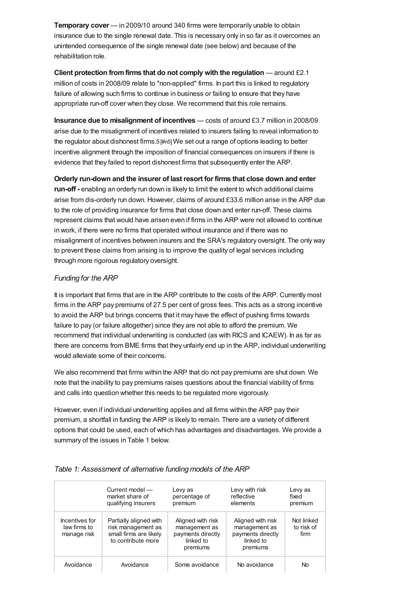**Temporary cover** — in 2009/10 around 340 firms were temporarily unable to obtain insurance due to the single renewal date. This is necessary only in so far as it overcomes an unintended consequence of the single renewal date (see below) and because of the rehabilitation role.

**Client protection fromfirms that do not comply with the regulation** — around £2.1 million of costs in 2008/09 relate to "non-applied" firms. In part this is linked to regulatory failure of allowing such firms to continue in business or failing to ensure that they have appropriate run-off cover when they close. We recommend that this role remains.

**Insurance due to misalignment of incentives** — costs of around £3.7 million in 2008/09 arise due to the misalignment of incentives related to insurers failing to reveal information to the regulator about dishonest firms.5 [\[#n5\]](#page-13-1) We set out a range of options leading to better incentive alignment through the imposition of financial consequences on insurers if there is evidence that they failed to report dishonest firms that subsequently enter the ARP.

**Orderly run-down and the insurer of last resort for firms that close down and enter run-off -** enabling an orderly run down is likely to limit the extent to which additional claims arise from dis-orderly run down. However, claims of around £33.6 million arise in the ARP due to the role of providing insurance for firms that close down and enter run-off. These claims represent claims that would have arisen even if firms in the ARP were not allowed to continue in work, if there were no firms that operated without insurance and if there was no misalignment of incentives between insurers and the SRA's regulatory oversight. The only way to prevent these claims from arising is to improve the quality of legal services including through more rigorous regulatory oversight.

# *Funding for the ARP*

It is important that firms that are in the ARP contribute to the costs of the ARP. Currently most firms in the ARP pay premiums of 27.5 per cent of gross fees. This acts as a strong incentive to avoid the ARP but brings concerns that it may have the effect of pushing firms towards failure to pay (or failure altogether) since they are not able to afford the premium. We recommend that individual underwriting is conducted (as with RICS and ICAEW). In as far as there are concerns from BME firms that they unfairly end up in the ARP, individual underwriting would alleviate some of their concerns.

We also recommend that firms within the ARP that do not pay premiums are shut down. We note that the inability to pay premiums raises questions about the financial viability of firms and calls into question whether this needs to be regulated more vigorously.

However, even if individual underwriting applies and all firms within the ARP pay their premium, a shortfall in funding the ARP is likely to remain. There are a variety of different options that could be used, each of which has advantages and disadvantages. We provide a summary of the issues in Table 1 below.

|                                               | Current model -<br>market share of<br>qualifying insurers                                    | Levy as<br>percentage of<br>premium                                              | Levy with risk<br>reflective<br>elements                                         | Levy as<br>fixed<br>premium      |
|-----------------------------------------------|----------------------------------------------------------------------------------------------|----------------------------------------------------------------------------------|----------------------------------------------------------------------------------|----------------------------------|
| Incentives for<br>law firms to<br>manage risk | Partially aligned with<br>risk management as<br>small firms are likely<br>to contribute more | Aligned with risk<br>management as<br>payments directly<br>linked to<br>premiums | Aligned with risk<br>management as<br>payments directly<br>linked to<br>premiums | Not linked<br>to risk of<br>firm |
| Avoidance                                     | Avoidance                                                                                    | Some avoidance                                                                   | No avoidance                                                                     | No                               |

### *Table 1: Assessment of alternative funding models of the ARP*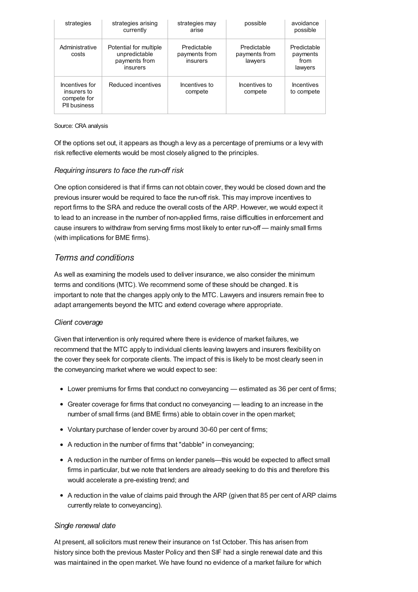| strategies                                                   | strategies arising<br>currently                                      | strategies may<br>arise                  | possible                                | avoidance<br>possible                      |
|--------------------------------------------------------------|----------------------------------------------------------------------|------------------------------------------|-----------------------------------------|--------------------------------------------|
| Administrative<br>costs                                      | Potential for multiple<br>unpredictable<br>payments from<br>insurers | Predictable<br>payments from<br>insurers | Predictable<br>payments from<br>lawyers | Predictable<br>payments<br>from<br>lawyers |
| Incentives for<br>insurers to<br>compete for<br>PII business | Reduced incentives                                                   | Incentives to<br>compete                 | Incentives to<br>compete                | <b>Incentives</b><br>to compete            |

#### Source: CRA analysis

Of the options set out, it appears as though a levy as a percentage of premiums or a levy with risk reflective elements would be most closely aligned to the principles.

# *Requiring insurers to face the run-off risk*

One option considered is that if firms can not obtain cover, they would be closed down and the previous insurer would be required to face the run-off risk. This may improve incentives to report firms to the SRA and reduce the overall costs of the ARP. However, we would expect it to lead to an increase in the number of non-applied firms, raise difficulties in enforcement and cause insurers to withdraw from serving firms most likely to enter run-off — mainly small firms (with implications for BME firms).

# *Terms and conditions*

As well as examining the models used to deliver insurance, we also consider the minimum terms and conditions (MTC). We recommend some of these should be changed. It is important to note that the changes apply only to the MTC. Lawyers and insurers remain free to adapt arrangements beyond the MTC and extend coverage where appropriate.

### *Client coverage*

Given that intervention is only required where there is evidence of market failures, we recommend that the MTC apply to individual clients leaving lawyers and insurers flexibility on the cover they seek for corporate clients. The impact of this is likely to be most clearly seen in the conveyancing market where we would expect to see:

- Lower premiums for firms that conduct no conveyancing estimated as 36 per cent of firms;
- Greater coverage for firms that conduct no conveyancing leading to an increase in the number of small firms (and BME firms) able to obtain cover in the open market;
- Voluntary purchase of lender cover by around 30-60 per cent of firms;
- A reduction in the number of firms that "dabble" in conveyancing;
- A reduction in the number of firms on lender panels—this would be expected to affect small firms in particular, but we note that lenders are already seeking to do this and therefore this would accelerate a pre-existing trend; and
- A reduction in the value of claims paid through the ARP (given that 85 per cent of ARP claims currently relate to conveyancing).

### *Single renewal date*

At present, all solicitors must renew their insurance on 1st October. This has arisen from history since both the previous Master Policy and then SIF had a single renewal date and this was maintained in the open market. We have found no evidence of a market failure for which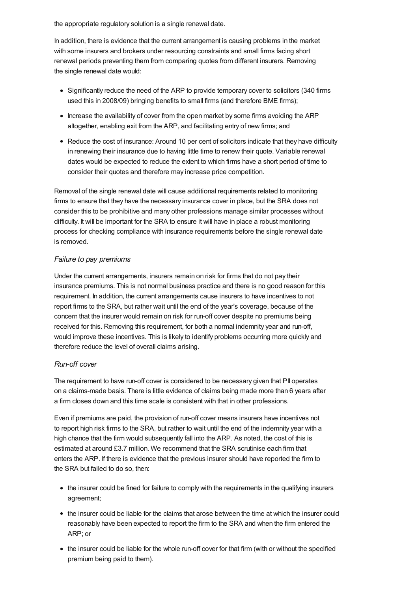the appropriate regulatory solution is a single renewal date.

In addition, there is evidence that the current arrangement is causing problems in the market with some insurers and brokers under resourcing constraints and small firms facing short renewal periods preventing them from comparing quotes from different insurers. Removing the single renewal date would:

- Significantly reduce the need of the ARP to provide temporary cover to solicitors (340 firms used this in 2008/09) bringing benefits to small firms (and therefore BME firms);
- Increase the availability of cover from the open market by some firms avoiding the ARP altogether, enabling exit from the ARP, and facilitating entry of new firms; and
- Reduce the cost of insurance: Around 10 per cent of solicitors indicate that they have difficulty in renewing their insurance due to having little time to renew their quote. Variable renewal dates would be expected to reduce the extent to which firms have a short period of time to consider their quotes and therefore may increase price competition.

Removal of the single renewal date will cause additional requirements related to monitoring firms to ensure that they have the necessary insurance cover in place, but the SRA does not consider this to be prohibitive and many other professions manage similar processes without difficulty. It will be important for the SRA to ensure it will have in place a robust monitoring process for checking compliance with insurance requirements before the single renewal date is removed.

# *Failure to pay premiums*

Under the current arrangements, insurers remain on risk for firms that do not pay their insurance premiums. This is not normal business practice and there is no good reason for this requirement. In addition, the current arrangements cause insurers to have incentives to not report firms to the SRA, but rather wait until the end of the year's coverage, because of the concern that the insurer would remain on risk for run-off cover despite no premiums being received for this. Removing this requirement, for both a normal indemnity year and run-off, would improve these incentives. This is likely to identify problems occurring more quickly and therefore reduce the level of overall claims arising.

### *Run-off cover*

The requirement to have run-off cover is considered to be necessary given that PII operates on a claims-made basis. There is little evidence of claims being made more than 6 years after a firm closes down and this time scale is consistent with that in other professions.

Even if premiums are paid, the provision of run-off cover means insurers have incentives not to report high risk firms to the SRA, but rather to wait until the end of the indemnity year with a high chance that the firm would subsequently fall into the ARP. As noted, the cost of this is estimated at around £3.7 million. We recommend that the SRA scrutinise each firm that enters the ARP. If there is evidence that the previous insurer should have reported the firm to the SRA but failed to do so, then:

- the insurer could be fined for failure to comply with the requirements in the qualifying insurers agreement;
- the insurer could be liable for the claims that arose between the time at which the insurer could reasonably have been expected to report the firm to the SRA and when the firm entered the ARP; or
- the insurer could be liable for the whole run-off cover for that firm (with or without the specified premium being paid to them).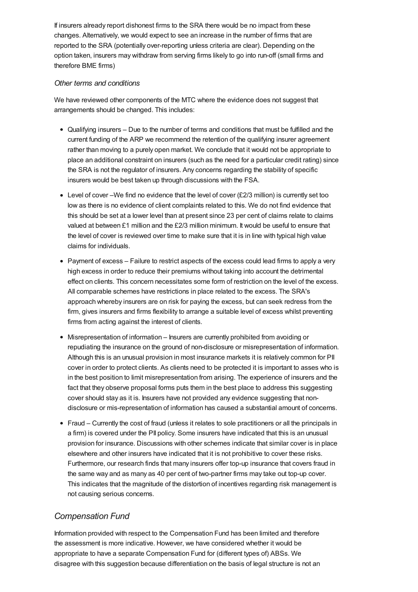If insurers already report dishonest firms to the SRA there would be no impact from these changes. Alternatively, we would expect to see an increase in the number of firms that are reported to the SRA (potentially over-reporting unless criteria are clear). Depending on the option taken, insurers may withdraw from serving firms likely to go into run-off (small firms and therefore BME firms)

### *Other terms and conditions*

We have reviewed other components of the MTC where the evidence does not suggest that arrangements should be changed. This includes:

- Qualifying insurers Due to the number of terms and conditions that must be fulfilled and the current funding of the ARP we recommend the retention of the qualifying insurer agreement rather than moving to a purely open market. We conclude that it would not be appropriate to place an additional constraint on insurers (such as the need for a particular credit rating) since the SRA is not the regulator of insurers. Any concerns regarding the stability of specific insurers would be best taken up through discussions with the FSA.
- $\bullet$  Level of cover –We find no evidence that the level of cover (£2/3 million) is currently set too low as there is no evidence of client complaints related to this. We do not find evidence that this should be set at a lower level than at present since 23 per cent of claims relate to claims valued at between £1 million and the £2/3 million minimum. It would be useful to ensure that the level of cover is reviewed over time to make sure that it is in line with typical high value claims for individuals.
- Payment of excess Failure to restrict aspects of the excess could lead firms to apply a very high excess in order to reduce their premiums without taking into account the detrimental effect on clients. This concern necessitates some form of restriction on the level of the excess. All comparable schemes have restrictions in place related to the excess. The SRA's approach whereby insurers are on risk for paying the excess, but can seek redress from the firm, gives insurers and firms flexibility to arrange a suitable level of excess whilst preventing firms from acting against the interest of clients.
- Misrepresentation of information Insurers are currently prohibited from avoiding or repudiating the insurance on the ground of non-disclosure or misrepresentation of information. Although this is an unusual provision in most insurance markets it is relatively common for PII cover in order to protect clients. As clients need to be protected it is important to asses who is in the best position to limit misrepresentation from arising. The experience of insurers and the fact that they observe proposal forms puts them in the best place to address this suggesting cover should stay as it is. Insurers have not provided any evidence suggesting that nondisclosure or mis-representation of information has caused a substantial amount of concerns.
- Fraud Currently the cost of fraud (unless it relates to sole practitioners or all the principals in a firm) is covered under the PII policy. Some insurers have indicated that this is an unusual provision for insurance. Discussions with other schemes indicate that similar cover is in place elsewhere and other insurers have indicated that it is not prohibitive to cover these risks. Furthermore, our research finds that many insurers offer top-up insurance that covers fraud in the same way and as many as 40 per cent of two-partner firms may take out top-up cover. This indicates that the magnitude of the distortion of incentives regarding risk management is not causing serious concerns.

# *Compensation Fund*

Information provided with respect to the Compensation Fund has been limited and therefore the assessment is more indicative. However, we have considered whether it would be appropriate to have a separate Compensation Fund for (different types of) ABSs. We disagree with this suggestion because differentiation on the basis of legal structure is not an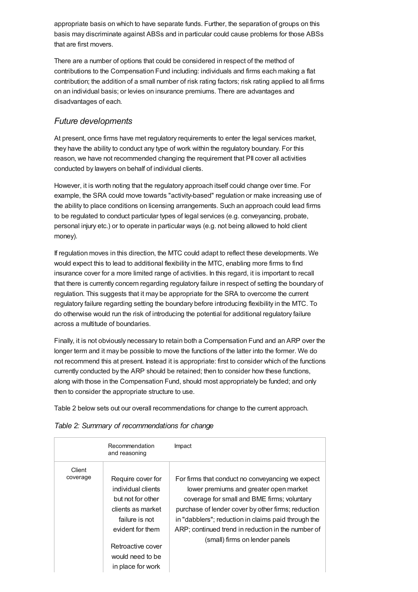appropriate basis on which to have separate funds. Further, the separation of groups on this basis may discriminate against ABSs and in particular could cause problems for those ABSs that are first movers.

There are a number of options that could be considered in respect of the method of contributions to the Compensation Fund including: individuals and firms each making a flat contribution; the addition of a small number of risk rating factors; risk rating applied to all firms on an individual basis; or levies on insurance premiums. There are advantages and disadvantages of each.

# *Future developments*

At present, once firms have met regulatory requirements to enter the legal services market, they have the ability to conduct any type of work within the regulatory boundary. For this reason, we have not recommended changing the requirement that PII cover all activities conducted by lawyers on behalf of individual clients.

However, it is worth noting that the regulatory approach itself could change over time. For example, the SRA could move towards "activity-based" regulation or make increasing use of the ability to place conditions on licensing arrangements. Such an approach could lead firms to be regulated to conduct particular types of legal services (e.g. conveyancing, probate, personal injury etc.) or to operate in particular ways (e.g. not being allowed to hold client money).

If regulation moves in this direction, the MTC could adapt to reflect these developments. We would expect this to lead to additional flexibility in the MTC, enabling more firms to find insurance cover for a more limited range of activities. In this regard, it is important to recall that there is currently concern regarding regulatory failure in respect of setting the boundary of regulation. This suggests that it may be appropriate for the SRA to overcome the current regulatory failure regarding setting the boundary before introducing flexibility in the MTC. To do otherwise would run the risk of introducing the potential for additional regulatory failure across a multitude of boundaries.

Finally, it is not obviously necessary to retain both a Compensation Fund and an ARP over the longer term and it may be possible to move the functions of the latter into the former. We do not recommend this at present. Instead it is appropriate: first to consider which of the functions currently conducted by the ARP should be retained; then to consider how these functions, along with those in the Compensation Fund, should most appropriately be funded; and only then to consider the appropriate structure to use.

Table 2 below sets out our overall recommendations for change to the current approach.

| Table 2: Summary of recommendations for change |  |  |
|------------------------------------------------|--|--|
|------------------------------------------------|--|--|

|                    | Recommendation<br>and reasoning                                                                                                                                                       | Impact                                                                                                                                                                                                                                                                                                                                         |
|--------------------|---------------------------------------------------------------------------------------------------------------------------------------------------------------------------------------|------------------------------------------------------------------------------------------------------------------------------------------------------------------------------------------------------------------------------------------------------------------------------------------------------------------------------------------------|
| Client<br>coverage | Require cover for<br>individual clients<br>but not for other<br>clients as market<br>failure is not<br>evident for them<br>Retroactive cover<br>would need to be<br>in place for work | For firms that conduct no conveyancing we expect<br>lower premiums and greater open market<br>coverage for small and BME firms; voluntary<br>purchase of lender cover by other firms; reduction<br>in "dabblers"; reduction in claims paid through the<br>ARP; continued trend in reduction in the number of<br>(small) firms on lender panels |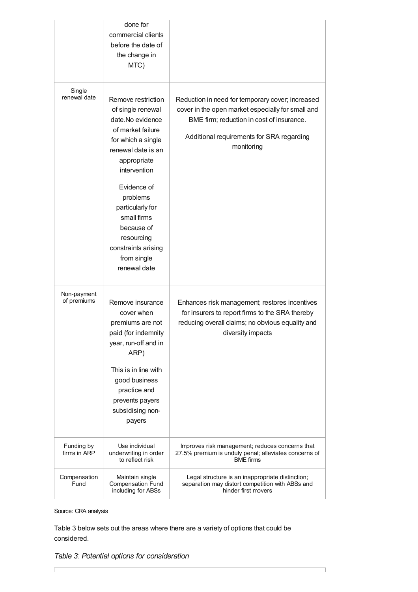|                            | done for<br>commercial clients<br>before the date of<br>the change in<br>MTC)                                                                                                                                                                                                                               |                                                                                                                                                                                                               |
|----------------------------|-------------------------------------------------------------------------------------------------------------------------------------------------------------------------------------------------------------------------------------------------------------------------------------------------------------|---------------------------------------------------------------------------------------------------------------------------------------------------------------------------------------------------------------|
| Single<br>renewal date     | Remove restriction<br>of single renewal<br>date.No evidence<br>of market failure<br>for which a single<br>renewal date is an<br>appropriate<br>intervention<br>Evidence of<br>problems<br>particularly for<br>small firms<br>because of<br>resourcing<br>constraints arising<br>from single<br>renewal date | Reduction in need for temporary cover; increased<br>cover in the open market especially for small and<br>BME firm; reduction in cost of insurance.<br>Additional requirements for SRA regarding<br>monitoring |
| Non-payment<br>of premiums | Remove insurance<br>cover when<br>premiums are not<br>paid (for indemnity<br>year, run-off and in<br>ARP)<br>This is in line with<br>good business<br>practice and<br>prevents payers<br>subsidising non-<br>payers                                                                                         | Enhances risk management; restores incentives<br>for insurers to report firms to the SRA thereby<br>reducing overall claims; no obvious equality and<br>diversity impacts                                     |
| Funding by<br>firms in ARP | Use individual<br>underwriting in order<br>to reflect risk                                                                                                                                                                                                                                                  | Improves risk management; reduces concerns that<br>27.5% premium is unduly penal; alleviates concerns of<br><b>BME</b> firms                                                                                  |
| Compensation<br>Fund       | Maintain single<br><b>Compensation Fund</b><br>including for ABSs                                                                                                                                                                                                                                           | Legal structure is an inappropriate distinction;<br>separation may distort competition with ABSs and<br>hinder first movers                                                                                   |

Source: CRA analysis

 $\Gamma$ 

Table 3 below sets out the areas where there are a variety of options that could be considered.

*Table 3: Potential options for consideration*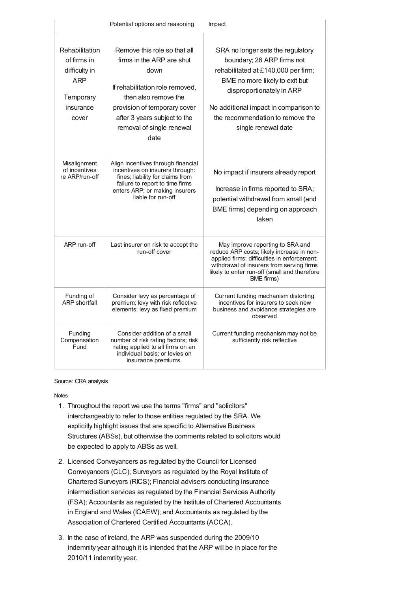|                                                                                                 | Potential options and reasoning                                                                                                                                                                                                   | Impact                                                                                                                                                                                                                                                                    |
|-------------------------------------------------------------------------------------------------|-----------------------------------------------------------------------------------------------------------------------------------------------------------------------------------------------------------------------------------|---------------------------------------------------------------------------------------------------------------------------------------------------------------------------------------------------------------------------------------------------------------------------|
| Rehabilitation<br>of firms in<br>difficulty in<br><b>ARP</b><br>Temporary<br>insurance<br>cover | Remove this role so that all<br>firms in the ARP are shut<br>down<br>If rehabilitation role removed,<br>then also remove the<br>provision of temporary cover<br>after 3 years subject to the<br>removal of single renewal<br>date | SRA no longer sets the regulatory<br>boundary; 26 ARP firms not<br>rehabilitated at £140,000 per firm;<br>BME no more likely to exit but<br>disproportionately in ARP<br>No additional impact in comparison to<br>the recommendation to remove the<br>single renewal date |
| Misalignment<br>of incentives<br>re ARP/run-off                                                 | Align incentives through financial<br>incentives on insurers through:<br>fines; liability for claims from<br>failure to report to time firms<br>enters ARP; or making insurers<br>liable for run-off                              | No impact if insurers already report<br>Increase in firms reported to SRA;<br>potential withdrawal from small (and<br>BME firms) depending on approach<br>taken                                                                                                           |
| ARP run-off                                                                                     | Last insurer on risk to accept the<br>run-off cover                                                                                                                                                                               | May improve reporting to SRA and<br>reduce ARP costs; likely increase in non-<br>applied firms; difficulties in enforcement;<br>withdrawal of insurers from serving firms<br>likely to enter run-off (small and therefore<br>BME firms)                                   |
| Funding of<br><b>ARP shortfall</b>                                                              | Consider levy as percentage of<br>premium; levy with risk reflective<br>elements; levy as fixed premium                                                                                                                           | Current funding mechanism distorting<br>incentives for insurers to seek new<br>business and avoidance strategies are<br>observed                                                                                                                                          |
| Funding<br>Compensation<br>Fund                                                                 | Consider addition of a small<br>number of risk rating factors; risk<br>rating applied to all firms on an<br>individual basis; or levies on<br>insurance premiums.                                                                 | Current funding mechanism may not be<br>sufficiently risk reflective                                                                                                                                                                                                      |

#### Source: CRA analysis

[Notes](#page-12-3)

- <span id="page-12-3"></span><span id="page-12-0"></span>1. Throughout the report we use the terms "firms" and "solicitors" interchangeably to refer to those entities regulated by the SRA. We explicitly highlight issues that are specific to Alternative Business Structures (ABSs), but otherwise the comments related to solicitors would be expected to apply to ABSs as well.
- <span id="page-12-1"></span>2. Licensed Conveyancers as regulated by the Council for Licensed Conveyancers (CLC); Surveyors as regulated by the Royal Institute of Chartered Surveyors (RICS); Financial advisers conducting insurance intermediation services as regulated by the Financial Services Authority (FSA); Accountants as regulated by the Institute of Chartered Accountants in England and Wales (ICAEW); and Accountants as regulated by the Association of Chartered Certified Accountants (ACCA).
- <span id="page-12-2"></span>3. In the case of Ireland, the ARP was suspended during the 2009/10 indemnity year although it is intended that the ARP will be in place for the 2010/11 indemnity year.